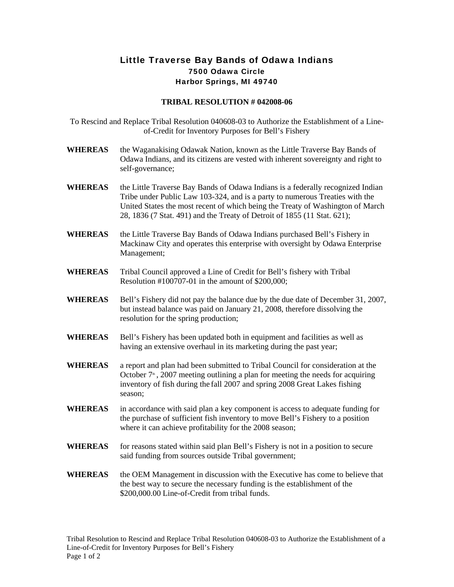## Little Traverse Bay Bands of Odawa Indians 7500 Odawa Circle Harbor Springs, MI 49740

## **TRIBAL RESOLUTION # 042008-06**

To Rescind and Replace Tribal Resolution 040608-03 to Authorize the Establishment of a Lineof-Credit for Inventory Purposes for Bell's Fishery

- **WHEREAS** the Waganakising Odawak Nation, known as the Little Traverse Bay Bands of Odawa Indians, and its citizens are vested with inherent sovereignty and right to self-governance;
- WHEREAS the Little Traverse Bay Bands of Odawa Indians is a federally recognized Indian Tribe under Public Law 103-324, and is a party to numerous Treaties with the United States the most recent of which being the Treaty of Washington of March 28, 1836 (7 Stat. 491) and the Treaty of Detroit of 1855 (11 Stat. 621);
- **WHEREAS** the Little Traverse Bay Bands of Odawa Indians purchased Bell's Fishery in Mackinaw City and operates this enterprise with oversight by Odawa Enterprise Management;
- **WHEREAS** Tribal Council approved a Line of Credit for Bell's fishery with Tribal Resolution #100707-01 in the amount of \$200,000;
- **WHEREAS** Bell's Fishery did not pay the balance due by the due date of December 31, 2007, but instead balance was paid on January 21, 2008, therefore dissolving the resolution for the spring production;
- **WHEREAS** Bell's Fishery has been updated both in equipment and facilities as well as having an extensive overhaul in its marketing during the past year;
- **WHEREAS** a report and plan had been submitted to Tribal Council for consideration at the October  $7<sup>th</sup>$ , 2007 meeting outlining a plan for meeting the needs for acquiring inventory of fish during the fall 2007 and spring 2008 Great Lakes fishing season;
- **WHEREAS** in accordance with said plan a key component is access to adequate funding for the purchase of sufficient fish inventory to move Bell's Fishery to a position where it can achieve profitability for the 2008 season;
- **WHEREAS** for reasons stated within said plan Bell's Fishery is not in a position to secure said funding from sources outside Tribal government;
- **WHEREAS** the OEM Management in discussion with the Executive has come to believe that the best way to secure the necessary funding is the establishment of the \$200,000.00 Line-of-Credit from tribal funds.